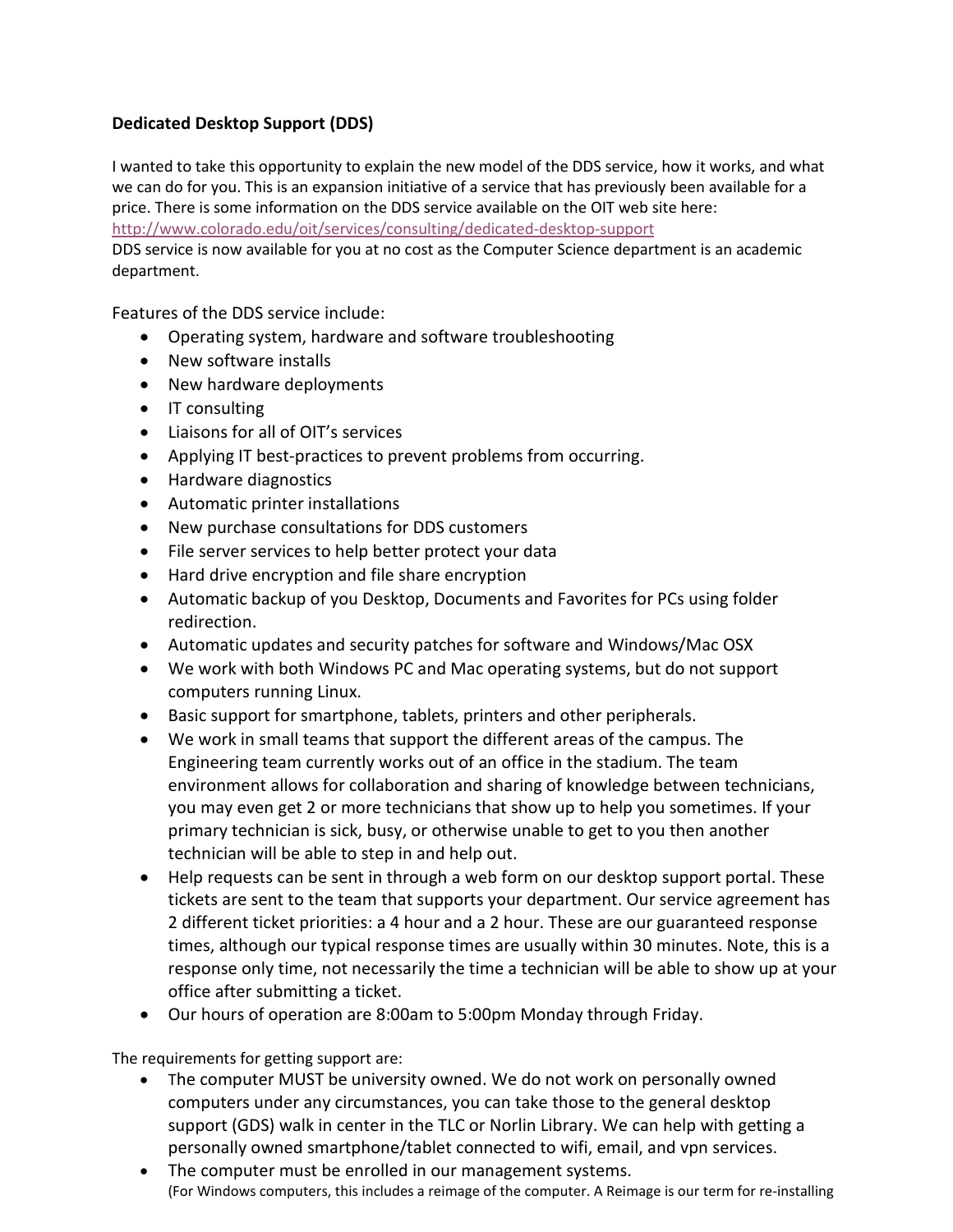## **Dedicated Desktop Support (DDS)**

I wanted to take this opportunity to explain the new model of the DDS service, how it works, and what we can do for you. This is an expansion initiative of a service that has previously been available for a price. There is some information on the DDS service available on the OIT web site here:

<http://www.colorado.edu/oit/services/consulting/dedicated-desktop-support>

DDS service is now available for you at no cost as the Computer Science department is an academic department.

Features of the DDS service include:

- Operating system, hardware and software troubleshooting
- New software installs
- New hardware deployments
- IT consulting
- Liaisons for all of OIT's services
- Applying IT best-practices to prevent problems from occurring.
- Hardware diagnostics
- Automatic printer installations
- New purchase consultations for DDS customers
- File server services to help better protect your data
- Hard drive encryption and file share encryption
- Automatic backup of you Desktop, Documents and Favorites for PCs using folder redirection.
- Automatic updates and security patches for software and Windows/Mac OSX
- We work with both Windows PC and Mac operating systems, but do not support computers running Linux.
- Basic support for smartphone, tablets, printers and other peripherals.
- We work in small teams that support the different areas of the campus. The Engineering team currently works out of an office in the stadium. The team environment allows for collaboration and sharing of knowledge between technicians, you may even get 2 or more technicians that show up to help you sometimes. If your primary technician is sick, busy, or otherwise unable to get to you then another technician will be able to step in and help out.
- Help requests can be sent in through a web form on our desktop support portal. These tickets are sent to the team that supports your department. Our service agreement has 2 different ticket priorities: a 4 hour and a 2 hour. These are our guaranteed response times, although our typical response times are usually within 30 minutes. Note, this is a response only time, not necessarily the time a technician will be able to show up at your office after submitting a ticket.
- Our hours of operation are 8:00am to 5:00pm Monday through Friday.

The requirements for getting support are:

- The computer MUST be university owned. We do not work on personally owned computers under any circumstances, you can take those to the general desktop support (GDS) walk in center in the TLC or Norlin Library. We can help with getting a personally owned smartphone/tablet connected to wifi, email, and vpn services.
- The computer must be enrolled in our management systems. (For Windows computers, this includes a reimage of the computer. A Reimage is our term for re-installing